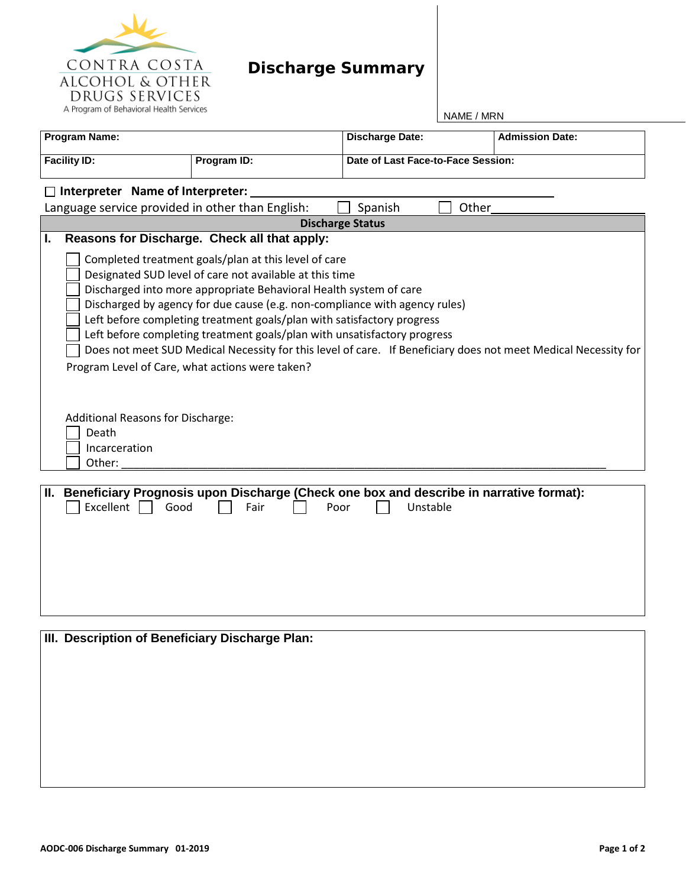

## **Discharge Summary**

NAME / MRN

| <b>Program Name:</b>    |                                                                                                                                                                                                                                                                                                                                                                                                                                                                                                                                                                                               |                                                                                                            | <b>Discharge Date:</b>             | <b>Admission Date:</b> |  |  |  |
|-------------------------|-----------------------------------------------------------------------------------------------------------------------------------------------------------------------------------------------------------------------------------------------------------------------------------------------------------------------------------------------------------------------------------------------------------------------------------------------------------------------------------------------------------------------------------------------------------------------------------------------|------------------------------------------------------------------------------------------------------------|------------------------------------|------------------------|--|--|--|
| <b>Facility ID:</b>     |                                                                                                                                                                                                                                                                                                                                                                                                                                                                                                                                                                                               | Program ID:                                                                                                | Date of Last Face-to-Face Session: |                        |  |  |  |
|                         | Interpreter Name of Interpreter:                                                                                                                                                                                                                                                                                                                                                                                                                                                                                                                                                              |                                                                                                            |                                    |                        |  |  |  |
|                         | Language service provided in other than English:                                                                                                                                                                                                                                                                                                                                                                                                                                                                                                                                              |                                                                                                            | Spanish<br>Other                   |                        |  |  |  |
| <b>Discharge Status</b> |                                                                                                                                                                                                                                                                                                                                                                                                                                                                                                                                                                                               |                                                                                                            |                                    |                        |  |  |  |
| I.                      |                                                                                                                                                                                                                                                                                                                                                                                                                                                                                                                                                                                               | Reasons for Discharge. Check all that apply:                                                               |                                    |                        |  |  |  |
|                         | Completed treatment goals/plan at this level of care<br>Designated SUD level of care not available at this time<br>Discharged into more appropriate Behavioral Health system of care<br>Discharged by agency for due cause (e.g. non-compliance with agency rules)<br>Left before completing treatment goals/plan with satisfactory progress<br>Left before completing treatment goals/plan with unsatisfactory progress<br>Does not meet SUD Medical Necessity for this level of care. If Beneficiary does not meet Medical Necessity for<br>Program Level of Care, what actions were taken? |                                                                                                            |                                    |                        |  |  |  |
|                         | Additional Reasons for Discharge:                                                                                                                                                                                                                                                                                                                                                                                                                                                                                                                                                             |                                                                                                            |                                    |                        |  |  |  |
|                         | Death                                                                                                                                                                                                                                                                                                                                                                                                                                                                                                                                                                                         |                                                                                                            |                                    |                        |  |  |  |
|                         | Incarceration                                                                                                                                                                                                                                                                                                                                                                                                                                                                                                                                                                                 |                                                                                                            |                                    |                        |  |  |  |
|                         | Other:                                                                                                                                                                                                                                                                                                                                                                                                                                                                                                                                                                                        |                                                                                                            |                                    |                        |  |  |  |
|                         | Excellent<br>Good                                                                                                                                                                                                                                                                                                                                                                                                                                                                                                                                                                             | II. Beneficiary Prognosis upon Discharge (Check one box and describe in narrative format):<br>Fair<br>Poor | Unstable                           |                        |  |  |  |

| <b>III. Description of Beneficiary Discharge Plan:</b> |  |  |  |  |  |
|--------------------------------------------------------|--|--|--|--|--|
|                                                        |  |  |  |  |  |
|                                                        |  |  |  |  |  |
|                                                        |  |  |  |  |  |
|                                                        |  |  |  |  |  |
|                                                        |  |  |  |  |  |
|                                                        |  |  |  |  |  |